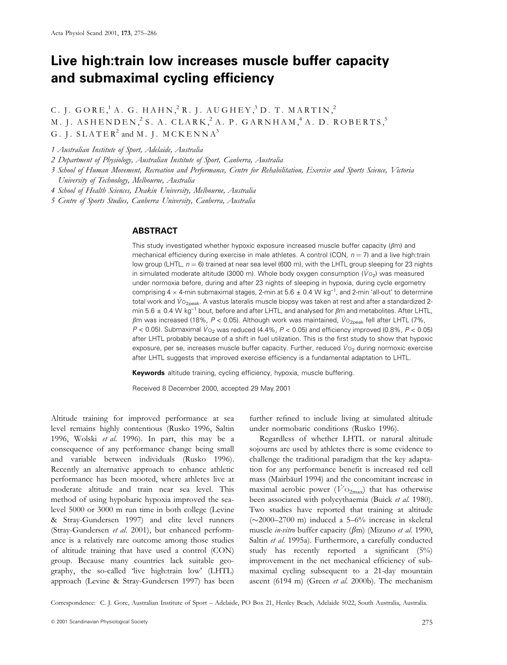# Live high:train low increases muscle buffer capacity and submaximal cycling efficiency

C. J. GORE,<sup>1</sup> A. G. HAHN,<sup>2</sup> R. J. AUGHEY,<sup>3</sup> D. T. MARTIN,<sup>2</sup>

M. J. ASHENDEN,  $2$ S. A. CLARK,  $2$ A. P. GARNHAM,  $4$ A. D. ROBERTS,  $5$ 

G. J.  $SLATER^2$  and M. J.  $M C K E N N A^3$ 

1 Australian Institute of Sport, Adelaide, Australia

2 Department of Physiology, Australian Institute of Sport, Canberra, Australia

3 School of Human Movement, Recreation and Performance, Centre for Rehabilitation, Exercise and Sports Science, Victoria University of Technology, Melbourne, Australia

4 School of Health Sciences, Deakin University, Melbourne, Australia

5 Centre of Sports Studies, Canberra University, Canberra, Australia

# ABSTRACT

This study investigated whether hypoxic exposure increased muscle buffer capacity ( $\beta$ m) and mechanical efficiency during exercise in male athletes. A control (CON,  $n = 7$ ) and a live high:train low group (LHTL,  $n = 6$ ) trained at near sea level (600 m), with the LHTL group sleeping for 23 nights in simulated moderate altitude (3000 m). Whole body oxygen consumption ( $V_0$ ) was measured under normoxia before, during and after 23 nights of sleeping in hypoxia, during cycle ergometry comprising 4  $\times$  4-min submaximal stages, 2-min at 5.6  $\pm$  0.4 W kg<sup>-1</sup>, and 2-min 'all-out' to determine total work and  $V_{O_{2p}$ eak. A vastus lateralis muscle biopsy was taken at rest and after a standardized 2min 5.6  $\pm$  0.4 W kg<sup>-1</sup> bout, before and after LHTL, and analysed for  $\beta$ m and metabolites. After LHTL,  $\beta$ m was increased (18%, P < 0.05). Although work was maintained,  $\dot{V}_{O<sub>2peak}</sub>$  fell after LHTL (7%,  $P < 0.05$ ). Submaximal  $V_{O_2}$  was reduced (4.4%,  $P < 0.05$ ) and efficiency improved (0.8%,  $P < 0.05$ ) after LHTL probably because of a shift in fuel utilization. This is the first study to show that hypoxic exposure, per se, increases muscle buffer capacity. Further, reduced  $V_{\text{O}_2}$  during normoxic exercise after LHTL suggests that improved exercise efficiency is a fundamental adaptation to LHTL.

Keywords altitude training, cycling efficiency, hypoxia, muscle buffering.

Received 8 December 2000, accepted 29 May 2001

Altitude training for improved performance at sea level remains highly contentious (Rusko 1996, Saltin 1996, Wolski et al. 1996). In part, this may be a consequence of any performance change being small and variable between individuals (Rusko 1996). Recently an alternative approach to enhance athletic performance has been mooted, where athletes live at moderate altitude and train near sea level. This method of using hypobaric hypoxia improved the sealevel 5000 or 3000 m run time in both college (Levine & Stray-Gundersen 1997) and elite level runners (Stray-Gundersen et al. 2001), but enhanced performance is a relatively rare outcome among those studies of altitude training that have used a control (CON) group. Because many countries lack suitable geography, the so-called `live high:train low' (LHTL) approach (Levine & Stray-Gundersen 1997) has been

further refined to include living at simulated altitude under normobaric conditions (Rusko 1996).

Regardless of whether LHTL or natural altitude sojourns are used by athletes there is some evidence to challenge the traditional paradigm that the key adaptation for any performance benefit is increased red cell mass (Mairbäurl 1994) and the concomitant increase in maximal aerobic power ( $V_{\text{O2max}}$ ) that has otherwise been associated with polycythaemia (Buick et al. 1980). Two studies have reported that training at altitude  $(\sim 2000-2700 \text{ m})$  induced a 5-6% increase in skeletal muscle in-vitro buffer capacity ( $\beta$ m) (Mizuno et al. 1990, Saltin et al. 1995a). Furthermore, a carefully conducted study has recently reported a significant  $(5%)$ improvement in the net mechanical efficiency of submaximal cycling subsequent to a 21-day mountain ascent (6194 m) (Green et al. 2000b). The mechanism

Correspondence: C. J. Gore, Australian Institute of Sport - Adelaide, PO Box 21, Henley Beach, Adelaide 5022, South Australia, Australia.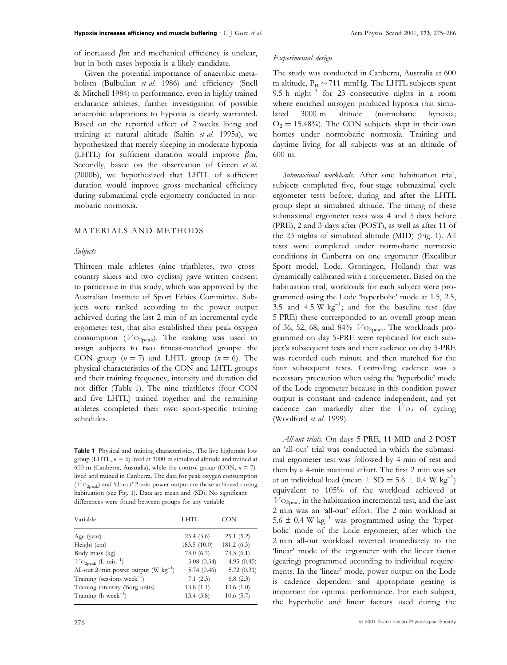of increased  $\beta$ m and mechanical efficiency is unclear, but in both cases hypoxia is a likely candidate.

Given the potential importance of anaerobic metabolism (Bulbulian et al. 1986) and efficiency (Snell & Mitchell 1984) to performance, even in highly trained endurance athletes, further investigation of possible anaerobic adaptations to hypoxia is clearly warranted. Based on the reported effect of 2 weeks living and training at natural altitude (Saltin et al. 1995a), we hypothesized that merely sleeping in moderate hypoxia (LHTL) for sufficient duration would improve  $\beta$ m. Secondly, based on the observation of Green et al. (2000b), we hypothesized that LHTL of sufficient duration would improve gross mechanical efficiency during submaximal cycle ergometry conducted in normobaric normoxia.

# MATERIALS AND METHODS

#### Subjects

Thirteen male athletes (nine triathletes, two crosscountry skiers and two cyclists) gave written consent to participate in this study, which was approved by the Australian Institute of Sport Ethics Committee. Subjects were ranked according to the power output achieved during the last 2 min of an incremental cycle ergometer test, that also established their peak oxygen consumption ( $\overline{V}$ O<sub>2peak</sub>). The ranking was used to assign subjects to two fitness-matched groups: the CON group  $(n = 7)$  and LHTL group  $(n = 6)$ . The physical characteristics of the CON and LHTL groups and their training frequency, intensity and duration did not differ (Table 1). The nine triathletes (four CON and five LHTL) trained together and the remaining athletes completed their own sport-specific training schedules.

Table 1 Physical and training characteristics. The live high:train low group (LHTL,  $n = 6$ ) lived at 3000 m simulated altitude and trained at 600 m (Canberra, Australia), while the control group (CON,  $n = 7$ ) lived and trained in Canberra. The data for peak oxygen consumption  $(\dot{V}_{\text{O}_{2\text{neak}}})$  and 'all-out' 2-min power output are those achieved during habituation (see Fig. 1). Data are mean and (SD). No significant differences were found between groups for any variable

| Variable                                            | LHTL         | CON        |
|-----------------------------------------------------|--------------|------------|
| Age (year)                                          | 25.4(3.6)    | 25.1(5.2)  |
| Height (cm)                                         | 183.5 (10.0) | 181.2(6.3) |
| Body mass (kg)                                      | 73.0(6.7)    | 73.3(6.1)  |
| $\dot{V}$ O <sub>2peak</sub> (L min <sup>-1</sup> ) | 5.08(0.34)   | 4.95(0.45) |
| All-out 2-min power output $(W \text{ kg}^{-1})$    | 5.74(0.46)   | 5.72(0.31) |
| Training (sessions week <sup>-1</sup> )             | 7.1(2.3)     | 6.8(2.3)   |
| Training intensity (Borg units)                     | 13.8(1.1)    | 13.6(1.0)  |
| Training (h week <sup>-1</sup> )                    | 13.4(3.8)    | 10.6(5.7)  |
|                                                     |              |            |

## Experimental design

The study was conducted in Canberra, Australia at 600 m altitude,  $P_B \sim 711$  mmHg. The LHTL subjects spent 9.5 h night $^{-1}$  for 23 consecutive nights in a room where enriched nitrogen produced hypoxia that simulated 3000 m altitude (normobaric hypoxia;  $O_2 = 15.48\%$ . The CON subjects slept in their own homes under normobaric normoxia. Training and daytime living for all subjects was at an altitude of 600 m.

Submaximal workloads. After one habituation trial, subjects completed five, four-stage submaximal cycle ergometer tests before, during and after the LHTL group slept at simulated altitude. The timing of these submaximal ergometer tests was 4 and 5 days before (PRE), 2 and 3 days after (POST), as well as after 11 of the 23 nights of simulated altitude (MID) (Fig. 1). All tests were completed under normobaric normoxic conditions in Canberra on one ergometer (Excalibur Sport model, Lode, Groningen, Holland) that was dynamically calibrated with a torquemeter. Based on the habituation trial, workloads for each subject were programmed using the Lode `hyperbolic' mode at 1.5, 2.5, 3.5 and 4.5 W  $kg^{-1}$ ; and for the baseline test (day 5-PRE) these corresponded to an overall group mean of 36, 52, 68, and 84%  $\dot{V}$ O<sub>2peak</sub>. The workloads programmed on day 5-PRE were replicated for each subject's subsequent tests and their cadence on day 5-PRE was recorded each minute and then matched for the four subsequent tests. Controlling cadence was a necessary precaution when using the `hyperbolic' mode of the Lode ergometer because in this condition power output is constant and cadence independent, and yet cadence can markedly alter the  $\dot{V}_{\text{O}_2}$  of cycling (Woolford et al. 1999).

All-out trials. On days 5-PRE, 11-MID and 2-POST an `all-out' trial was conducted in which the submaximal ergometer test was followed by 4 min of rest and then by a 4-min maximal effort. The first 2 min was set at an individual load (mean  $\pm$  SD = 5.6  $\pm$  0.4 W kg<sup>-1</sup>) equivalent to 105% of the workload achieved at  $V_{\text{O}_\text{2peak}}$  in the habituation incremental test, and the last 2 min was an `all-out' effort. The 2 min workload at 5.6  $\pm$  0.4 W kg<sup>-1</sup> was programmed using the 'hyperbolic' mode of the Lode ergometer, after which the 2 min all-out workload reverted immediately to the `linear' mode of the ergometer with the linear factor (gearing) programmed according to individual requirements. In the 'linear' mode, power output on the Lode is cadence dependent and appropriate gearing is important for optimal performance. For each subject, the hyperbolic and linear factors used during the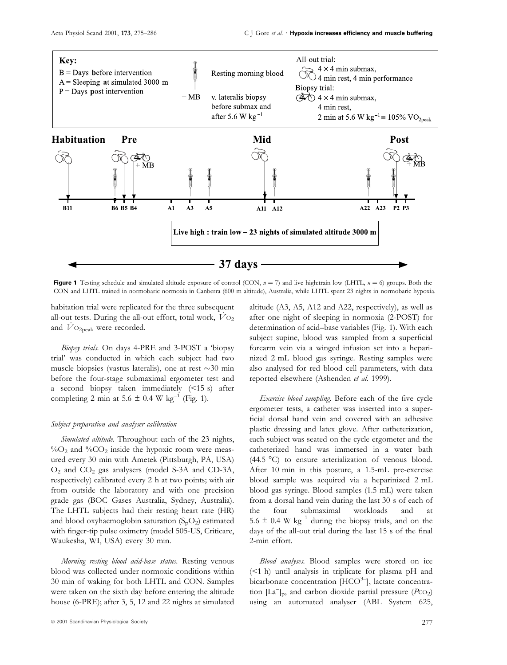

Figure 1 Testing schedule and simulated altitude exposure of control (CON,  $n = 7$ ) and live high:train low (LHTL,  $n = 6$ ) groups. Both the CON and LHTL trained in normobaric normoxia in Canberra (600 m altitude), Australia, while LHTL spent 23 nights in normobaric hypoxia.

habitation trial were replicated for the three subsequent all-out tests. During the all-out effort, total work,  $\dot{V}$  O<sub>2</sub> and  $V_{\text{O}_\text{2peak}}$  were recorded.

Biopsy trials. On days 4-PRE and 3-POST a 'biopsy trial' was conducted in which each subject had two muscle biopsies (vastus lateralis), one at rest  $\sim$ 30 min before the four-stage submaximal ergometer test and a second biopsy taken immediately (<15 s) after completing 2 min at 5.6  $\pm$  0.4 W kg<sup>-1</sup> (Fig. 1).

#### Subject preparation and analyser calibration

Simulated altitude. Throughout each of the 23 nights,  $\%$ O<sub>2</sub> and  $\%$ CO<sub>2</sub> inside the hypoxic room were measured every 30 min with Ametek (Pittsburgh, PA, USA) O2 and CO2 gas analysers (model S-3A and CD-3A, respectively) calibrated every 2 h at two points; with air from outside the laboratory and with one precision grade gas (BOC Gases Australia, Sydney, Australia). The LHTL subjects had their resting heart rate (HR) and blood oxyhaemoglobin saturation  $(S_pO_2)$  estimated with finger-tip pulse oximetry (model 505-US, Criticare, Waukesha, WI, USA) every 30 min.

Morning resting blood acid-base status. Resting venous blood was collected under normoxic conditions within 30 min of waking for both LHTL and CON. Samples were taken on the sixth day before entering the altitude house (6-PRE); after 3, 5, 12 and 22 nights at simulated

 $\circledcirc$  2001 Scandinavian Physiological Society 2007 Scandinavian Physiological Society 2007 Scandinavian Physiological Society

altitude (A3, A5, A12 and A22, respectively), as well as after one night of sleeping in normoxia (2-POST) for determination of acid-base variables (Fig. 1). With each subject supine, blood was sampled from a superficial forearm vein via a winged infusion set into a heparinized 2 mL blood gas syringe. Resting samples were also analysed for red blood cell parameters, with data reported elsewhere (Ashenden et al. 1999).

Exercise blood sampling. Before each of the five cycle ergometer tests, a catheter was inserted into a super ficial dorsal hand vein and covered with an adhesive plastic dressing and latex glove. After catheterization, each subject was seated on the cycle ergometer and the catheterized hand was immersed in a water bath (44.5 °C) to ensure arterialization of venous blood. After 10 min in this posture, a 1.5-mL pre-exercise blood sample was acquired via a heparinized 2 mL blood gas syringe. Blood samples (1.5 mL) were taken from a dorsal hand vein during the last 30 s of each of the four submaximal workloads and at 5.6  $\pm$  0.4 W kg<sup>-1</sup> during the biopsy trials, and on the days of the all-out trial during the last 15 s of the final 2-min effort.

Blood analyses. Blood samples were stored on ice (<1 h) until analysis in triplicate for plasma pH and bicarbonate concentration  $[HCO^{3-}]$ , lactate concentration  $\left[\text{La}^-\right]_p$ , and carbon dioxide partial pressure  $\left(P\text{co}_2\right)$ using an automated analyser (ABL System 625,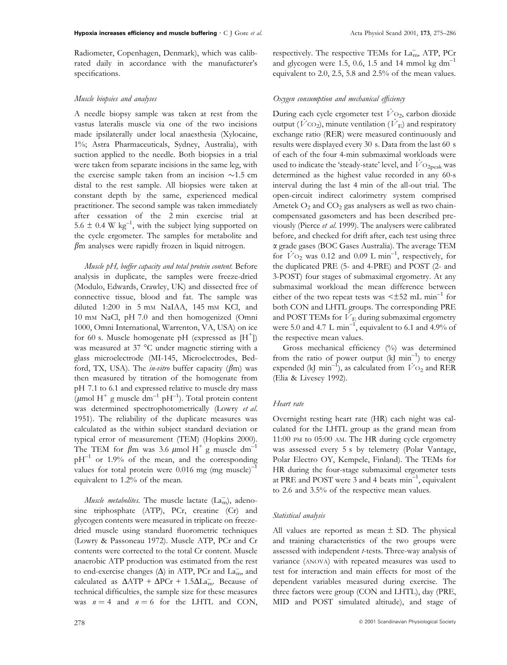Radiometer, Copenhagen, Denmark), which was calibrated daily in accordance with the manufacturer's specifications.

#### Muscle biopsies and analyses

A needle biopsy sample was taken at rest from the vastus lateralis muscle via one of the two incisions made ipsilaterally under local anaesthesia (Xylocaine, 1%; Astra Pharmaceuticals, Sydney, Australia), with suction applied to the needle. Both biopsies in a trial were taken from separate incisions in the same leg, with the exercise sample taken from an incision  $\sim$ 1.5 cm distal to the rest sample. All biopsies were taken at constant depth by the same, experienced medical practitioner. The second sample was taken immediately after cessation of the 2 min exercise trial at 5.6  $\pm$  0.4 W kg<sup>-1</sup>, with the subject lying supported on the cycle ergometer. The samples for metabolite and  $\beta$ m analyses were rapidly frozen in liquid nitrogen.

Muscle pH, buffer capacity and total protein content. Before analysis in duplicate, the samples were freeze-dried (Modulo, Edwards, Crawley, UK) and dissected free of connective tissue, blood and fat. The sample was diluted 1:200 in 5 mm NaIAA, 145 mm KCl, and 10 mM NaCl, pH 7.0 and then homogenized (Omni 1000, Omni International, Warrenton, VA, USA) on ice for 60 s. Muscle homogenate pH (expressed as  $[H^+]$ ) was measured at 37 °C under magnetic stirring with a glass microelectrode (MI-145, Microelectrodes, Bedford, TX, USA). The *in-vitro* buffer capacity ( $\beta$ m) was then measured by titration of the homogenate from pH 7.1 to 6.1 and expressed relative to muscle dry mass ( $\mu$ mol H<sup>+</sup> g muscle dm<sup>-1</sup> pH<sup>-1</sup>). Total protein content was determined spectrophotometrically (Lowry et al. 1951). The reliability of the duplicate measures was calculated as the within subject standard deviation or typical error of measurement (TEM) (Hopkins 2000). The TEM for  $\beta$ m was 3.6  $\mu$ mol H<sup>+</sup> g muscle dm<sup>-1</sup>  $pH^{-1}$  or 1.9% of the mean, and the corresponding values for total protein were  $0.016$  mg (mg muscle)<sup>-1</sup> equivalent to 1.2% of the mean.

*Muscle metabolites*. The muscle lactate  $(La_m^-)$ , adenosine triphosphate (ATP), PCr, creatine (Cr) and glycogen contents were measured in triplicate on freezedried muscle using standard fluorometric techniques (Lowry & Passoneau 1972). Muscle ATP, PCr and Cr contents were corrected to the total Cr content. Muscle anaerobic ATP production was estimated from the rest to end-exercise changes  $(\Delta)$  in ATP, PCr and  $\text{La}_\text{m}^-$ , and calculated as  $\Delta A T P + \Delta P C r + 1.5 \Delta L a_m$ . Because of technical difficulties, the sample size for these measures was  $n = 4$  and  $n = 6$  for the LHTL and CON,

respectively. The respective TEMs for La<sub>m</sub>, ATP, PCr and glycogen were 1.5, 0.6, 1.5 and 14 mmol kg  $dm^{-1}$ equivalent to 2.0, 2.5, 5.8 and 2.5% of the mean values.

## Oxygen consumption and mechanical efficiency

During each cycle ergometer test  $\dot{V}$ O<sub>2</sub>, carbon dioxide output ( $\dot{V}$  CO<sub>2</sub>), minute ventilation ( $\dot{V}$ <sub>E</sub>) and respiratory exchange ratio (RER) were measured continuously and results were displayed every 30 s. Data from the last 60 s of each of the four 4-min submaximal workloads were used to indicate the 'steady-state' level, and  $\dot{V}$ O<sub>2peak</sub> was determined as the highest value recorded in any 60-s interval during the last 4 min of the all-out trial. The open-circuit indirect calorimetry system comprised Ametek  $O_2$  and  $CO_2$  gas analysers as well as two chaincompensated gasometers and has been described previously (Pierce et al. 1999). The analysers were calibrated before, and checked for drift after, each test using three a grade gases (BOC Gases Australia). The average TEM for  $\dot{V}$  O<sub>2</sub> was 0.12 and 0.09 L min<sup>-1</sup>, respectively, for the duplicated PRE (5- and 4-PRE) and POST (2- and 3-POST) four stages of submaximal ergometry. At any submaximal workload the mean difference between either of the two repeat tests was  $\leq \pm 52$  mL min<sup>-1</sup> for both CON and LHTL groups. The corresponding PRE and POST TEMs for  $\overline{V}_E$  during submaximal ergometry were 5.0 and 4.7 L min<sup>-1</sup>, equivalent to 6.1 and 4.9% of the respective mean values.

Gross mechanical efficiency (%) was determined from the ratio of power output (kJ min<sup>-1</sup>) to energy expended (kJ min<sup>-1</sup>), as calculated from  $\dot{V}$  O<sub>2</sub> and RER (Elia & Livesey 1992).

#### Heart rate

Overnight resting heart rate (HR) each night was calculated for the LHTL group as the grand mean from 11:00 PM to 05:00 AM. The HR during cycle ergometry was assessed every 5 s by telemetry (Polar Vantage, Polar Electro OY, Kempele, Finland). The TEMs for HR during the four-stage submaximal ergometer tests at PRE and POST were 3 and 4 beats  $min^{-1}$ , equivalent to 2.6 and 3.5% of the respective mean values.

#### Statistical analysis

All values are reported as mean  $\pm$  SD. The physical and training characteristics of the two groups were assessed with independent *t*-tests. Three-way analysis of variance (ANOVA) with repeated measures was used to test for interaction and main effects for most of the dependent variables measured during exercise. The three factors were group (CON and LHTL), day (PRE, MID and POST simulated altitude), and stage of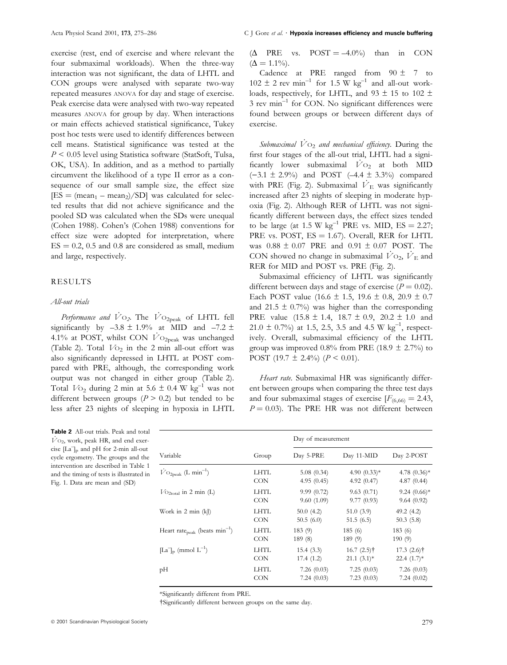exercise (rest, end of exercise and where relevant the four submaximal workloads). When the three-way interaction was not significant, the data of LHTL and CON groups were analysed with separate two-way repeated measures ANOVA for day and stage of exercise. Peak exercise data were analysed with two-way repeated measures ANOVA for group by day. When interactions or main effects achieved statistical significance, Tukey post hoc tests were used to identify differences between cell means. Statistical significance was tested at the  $P < 0.05$  level using Statistica software (StatSoft, Tulsa, OK, USA). In addition, and as a method to partially circumvent the likelihood of a type II error as a consequence of our small sample size, the effect size  $[ES = (mean_1 - mean_2)/SD]$  was calculated for selected results that did not achieve significance and the pooled SD was calculated when the SDs were unequal (Cohen 1988). Cohen's (Cohen 1988) conventions for effect size were adopted for interpretation, where  $ES = 0.2$ , 0.5 and 0.8 are considered as small, medium and large, respectively.

# RESULTS

## All-out trials

Performance and  $\dot{V}$ O<sub>2</sub>. The  $\dot{V}$ O<sub>2peak</sub> of LHTL fell significantly by  $-3.8 \pm 1.9$ % at MID and  $-7.2 \pm$ 4.1% at POST, whilst CON  $\dot{V}$ O<sub>2peak</sub> was unchanged (Table 2). Total  $V_{\text{O}_2}$  in the 2 min all-out effort was also significantly depressed in LHTL at POST compared with PRE, although, the corresponding work output was not changed in either group (Table 2). Total  $V_{{}^{0}2}$  during 2 min at 5.6  $\pm$  0.4 W kg<sup>-1</sup> was not different between groups ( $P > 0.2$ ) but tended to be less after 23 nights of sleeping in hypoxia in LHTL

Table 2 All-out trials. Peak and total  $\dot{V}$ O<sub>2</sub>, work, peak HR, and end exercise  $[La]_p$  and pH for 2-min all-out cycle ergometry. The groups and the intervention are described in Table 1 and the timing of tests is illustrated in Fig. 1. Data are mean and (SD)

 $(\Delta$  PRE vs. POST = -4.0%) than in CON  $(\Delta = 1.1\%)$ .

Cadence at PRE ranged from  $90 \pm 7$  to  $102 \pm 2$  rev min<sup>-1</sup> for 1.5 W kg<sup>-1</sup> and all-out workloads, respectively, for LHTL, and 93  $\pm$  15 to 102  $\pm$ 3 rev min $^{-1}$  for CON. No significant differences were found between groups or between different days of exercise.

Submaximal  $\dot{V}$  O<sub>2</sub> and mechanical efficiency. During the first four stages of the all-out trial, LHTL had a significantly lower submaximal  $\dot{V}$ O<sub>2</sub> at both MID  $(-3.1 \pm 2.9\%)$  and POST  $(-4.4 \pm 3.3\%)$  compared with PRE (Fig. 2). Submaximal  $\dot{V}_E$  was significantly increased after 23 nights of sleeping in moderate hypoxia (Fig. 2). Although RER of LHTL was not signi ficantly different between days, the effect sizes tended to be large (at 1.5 W  $kg^{-1}$  PRE vs. MID, ES = 2.27; PRE vs. POST,  $ES = 1.67$ ). Overall, RER for LHTL was  $0.88 \pm 0.07$  PRE and  $0.91 \pm 0.07$  POST. The CON showed no change in submaximal  $V_{\text{O}_2}$ ,  $V_{\text{E}}$  and RER for MID and POST vs. PRE (Fig. 2).

Submaximal efficiency of LHTL was significantly different between days and stage of exercise ( $P = 0.02$ ). Each POST value  $(16.6 \pm 1.5, 19.6 \pm 0.8, 20.9 \pm 0.7)$ and 21.5  $\pm$  0.7%) was higher than the corresponding PRE value  $(15.8 \pm 1.4, 18.7 \pm 0.9, 20.2 \pm 1.0)$  and  $21.0 \pm 0.7\%$ ) at 1.5, 2.5, 3.5 and 4.5 W kg<sup>-1</sup>, respectively. Overall, submaximal efficiency of the LHTL group was improved 0.8% from PRE (18.9  $\pm$  2.7%) to POST (19.7  $\pm$  2.4%) ( $P < 0.01$ ).

Heart rate. Submaximal HR was significantly different between groups when comparing the three test days and four submaximal stages of exercise  $[F_{(6,66)} = 2.43]$ ,  $P = 0.03$ ). The PRE HR was not different between

|                                                     |            | Day of measurement |                |                 |  |
|-----------------------------------------------------|------------|--------------------|----------------|-----------------|--|
| Variable                                            | Group      | Day 5-PRE          | Day 11-MID     | Day 2-POST      |  |
| $\dot{V}$ O <sub>2peak</sub> (L min <sup>-1</sup> ) | LHTL       | 5.08(0.34)         | 4.90 $(0.33)*$ | 4.78 $(0.36)$ * |  |
|                                                     | <b>CON</b> | 4.95(0.45)         | 4.92(0.47)     | 4.87(0.44)      |  |
| $V_{\text{O}_{2\text{total}}}$ in 2 min (L)         | LHTL       | 9.99(0.72)         | 9.63(0.71)     | $9.24(0.66)*$   |  |
|                                                     | <b>CON</b> | 9.60(1.09)         | 9.77(0.93)     | 9.64(0.92)      |  |
| Work in $2 \text{ min } (k)$                        | LHTL       | 50.0(4.2)          | 51.0(3.9)      | 49.2(4.2)       |  |
|                                                     | <b>CON</b> | 50.5(6.0)          | 51.5(6.5)      | 50.3(5.8)       |  |
| Heart rate <sub>peak</sub> (beats $min^{-1}$ )      | LHTL       | 183(9)             | 185(6)         | 183(6)          |  |
|                                                     | <b>CON</b> | 189 (8)            | 189(9)         | 190(9)          |  |
| $[La]_p$ (mmol $L^{-1}$ )                           | LHTL       | 15.4(3.3)          | $16.7(2.5)$ †  | $17.3(2.6)$ †   |  |
|                                                     | <b>CON</b> | 17.4(1.2)          | $21.1(3.1)$ *  | $22.4(1.7)^*$   |  |
| pН                                                  | LHTL       | 7.26(0.03)         | 7.25(0.03)     | 7.26(0.03)      |  |
|                                                     | <b>CON</b> | 7.24(0.03)         | 7.23(0.03)     | 7.24(0.02)      |  |

\*Significantly different from PRE.

†Significantly different between groups on the same day.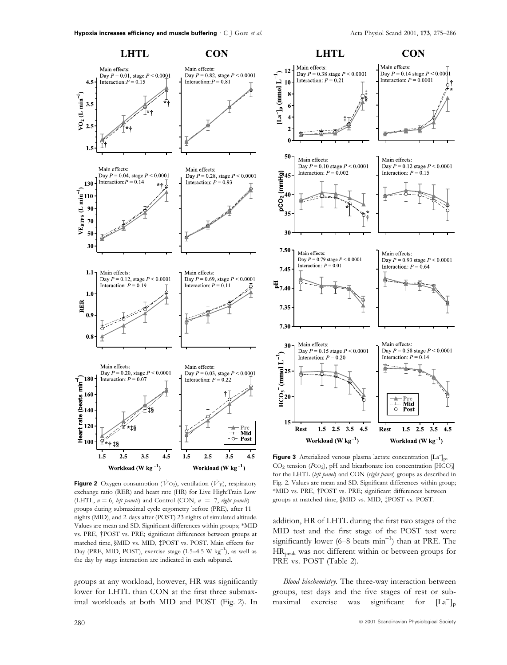Main effects:

**CON** 

Day  $P = 0.14$  stage  $P \le 0.0001$ 



**Figure 2** Oxygen consumption ( $\dot{V}$ O<sub>2</sub>), ventilation ( $\dot{V}$ <sub>E</sub>), respiratory exchange ratio (RER) and heart rate (HR) for Live High:Train Low (LHTL,  $n = 6$ , left panels) and Control (CON,  $n = 7$ , right panels) groups during submaximal cycle ergometry before (PRE), after 11 nights (MID), and 2 days after (POST) 23 nights of simulated altitude. Values are mean and SD. Significant differences within groups; \*MID vs. PRE, <sup>+</sup>POST vs. PRE; significant differences between groups at matched time, §MID vs. MID, ‡POST vs. POST. Main effects for Day (PRE, MID, POST), exercise stage  $(1.5-4.5 \text{ W kg}^{-1})$ , as well as the day by stage interaction are indicated in each subpanel.

groups at any workload, however, HR was significantly lower for LHTL than CON at the first three submaximal workloads at both MID and POST (Fig. 2). In



**LHTL** 

Workload ( $W$  kg<sup>-1</sup>)

Figure 3 Arterialized venous plasma lactate concentration [La<sup>-</sup>]<sub>p</sub>,  $CO<sub>2</sub>$  tension (Pco<sub>2</sub>), pH and bicarbonate ion concentration [HCO<sub>3</sub>] for the LHTL (left panel) and CON (right panel) groups as described in Fig. 2. Values are mean and SD. Significant differences within group; \*MID vs. PRE, <sup>†</sup>POST vs. PRE; significant differences between groups at matched time, §MID vs. MID, ‡POST vs. POST.

addition, HR of LHTL during the first two stages of the MID test and the first stage of the POST test were significantly lower (6-8 beats min<sup>-1</sup>) than at PRE. The HRpeak was not different within or between groups for PRE vs. POST (Table 2).

Blood biochemistry. The three-way interaction between groups, test days and the five stages of rest or submaximal exercise was significant for  $[La^-]_p$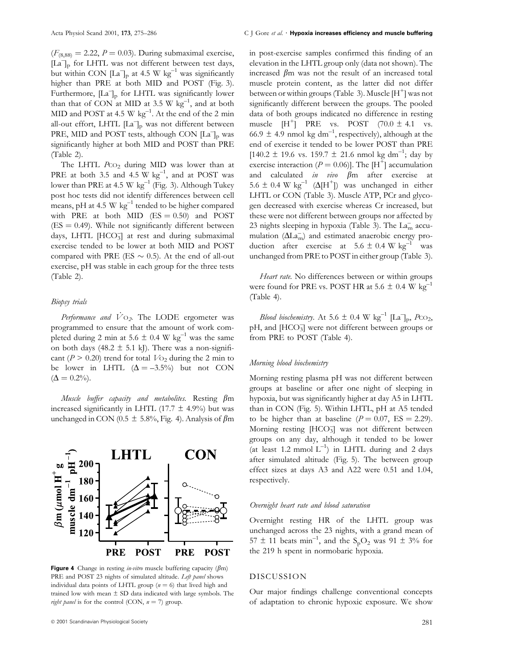$(F_{(8,88)} = 2.22, P = 0.03)$ . During submaximal exercise, [La<sup>-</sup>]<sub>p</sub> for LHTL was not different between test days, but within CON  $\left[\text{La}^-\right]_p$  at 4.5 W kg<sup>-1</sup> was significantly higher than PRE at both MID and POST (Fig. 3). Furthermore, [La<sup>-</sup>]<sub>p</sub> for LHTL was significantly lower than that of CON at MID at 3.5 W  $kg^{-1}$ , and at both MID and POST at 4.5 W  $kg^{-1}$ . At the end of the 2 min all-out effort, LHTL [La<sup>-</sup>]<sub>p</sub> was not different between PRE, MID and POST tests, although CON  $[La]_p$  was significantly higher at both MID and POST than PRE (Table 2).

The LHTL  $P_{CO_2}$  during MID was lower than at PRE at both 3.5 and 4.5 W  $kg^{-1}$ , and at POST was lower than PRE at 4.5 W  $kg^{-1}$  (Fig. 3). Although Tukey post hoc tests did not identify differences between cell means, pH at 4.5 W  $kg^{-1}$  tended to be higher compared with PRE at both MID  $(ES = 0.50)$  and POST  $(ES = 0.49)$ . While not significantly different between days, LHTL [HCO<sub>3</sub>] at rest and during submaximal exercise tended to be lower at both MID and POST compared with PRE (ES  $\sim$  0.5). At the end of all-out exercise, pH was stable in each group for the three tests (Table 2).

#### Biopsy trials

Performance and  $\dot{V}$ O<sub>2</sub>. The LODE ergometer was programmed to ensure that the amount of work completed during 2 min at 5.6  $\pm$  0.4 W kg<sup>-1</sup> was the same on both days (48.2  $\pm$  5.1 kJ). There was a non-significant ( $P > 0.20$ ) trend for total  $V_{\text{O}_2}$  during the 2 min to be lower in LHTL  $(\Delta = -3.5\%)$  but not CON  $(\Delta = 0.2\%)$ .

Muscle buffer capacity and metabolites. Resting  $\beta$ m increased significantly in LHTL (17.7  $\pm$  4.9%) but was unchanged in CON (0.5  $\pm$  5.8%, Fig. 4). Analysis of  $\beta$ m



Figure 4 Change in resting *in-vitro* muscle buffering capacity ( $\beta$ m) PRE and POST 23 nights of simulated altitude. Left panel shows individual data points of LHTL group ( $n = 6$ ) that lived high and trained low with mean  $\pm$  SD data indicated with large symbols. The right panel is for the control (CON,  $n = 7$ ) group.

#### Acta Physiol Scand 2001, 173, 275-286 C J Gore et al. • Hypoxia increases efficiency and muscle buffering

in post-exercise samples confirmed this finding of an elevation in the LHTL group only (data not shown). The increased  $\beta$ m was not the result of an increased total muscle protein content, as the latter did not differ between or within groups (Table 3). Muscle  $[H^+]$  was not significantly different between the groups. The pooled data of both groups indicated no difference in resting muscle  $[H^+]$  PRE vs. POST  $(70.0 \pm 4.1 \text{ vs.}$ 66.9  $\pm$  4.9 nmol kg dm<sup>-1</sup>, respectively), although at the end of exercise it tended to be lower POST than PRE  $[140.2 \pm 19.6 \text{ vs. } 159.7 \pm 21.6 \text{ nmol kg dm}^{-1}$ ; day by exercise interaction ( $P = 0.06$ )]. The [H<sup>+</sup>] accumulation and calculated in vivo  $\beta$ m after exercise at 5.6  $\pm$  0.4 W kg<sup>-1</sup> ( $\Delta$ [H<sup>+</sup>]) was unchanged in either LHTL or CON (Table 3). Muscle ATP, PCr and glycogen decreased with exercise whereas Cr increased, but these were not different between groups nor affected by 23 nights sleeping in hypoxia (Table 3). The  $\text{La}_m^-$  accumulation  $(\Delta L\bar{a_{\rm m}})$  and estimated anaerobic energy production after exercise at  $5.6 \pm 0.4 \text{ W kg}^{-1}$  was unchanged from PRE to POST in either group (Table 3).

Heart rate. No differences between or within groups were found for PRE vs. POST HR at 5.6  $\pm$  0.4 W kg<sup>-1</sup> (Table 4).

*Blood biochemistry*. At 5.6  $\pm$  0.4 W kg<sup>-1</sup> [La<sup>-</sup>]<sub>p</sub>, Pc $\circ$ <sub>2</sub>, pH, and [HCO<sub>3</sub>] were not different between groups or from PRE to POST (Table 4).

## Morning blood biochemistry

Morning resting plasma pH was not different between groups at baseline or after one night of sleeping in hypoxia, but was significantly higher at day A5 in LHTL than in CON (Fig. 5). Within LHTL, pH at A5 tended to be higher than at baseline  $(P = 0.07, ES = 2.29)$ . Morning resting [HCO<sub>3</sub>] was not different between groups on any day, although it tended to be lower (at least 1.2 mmol  $L^{-1}$ ) in LHTL during and 2 days after simulated altitude (Fig. 5). The between group effect sizes at days A3 and A22 were 0.51 and 1.04, respectively.

#### Overnight heart rate and blood saturation

Overnight resting HR of the LHTL group was unchanged across the 23 nights, with a grand mean of 57  $\pm$  11 beats min<sup>-1</sup>, and the S<sub>p</sub>O<sub>2</sub> was 91  $\pm$  3% for the 219 h spent in normobaric hypoxia.

# DISCUSSION

Our major findings challenge conventional concepts of adaptation to chronic hypoxic exposure. We show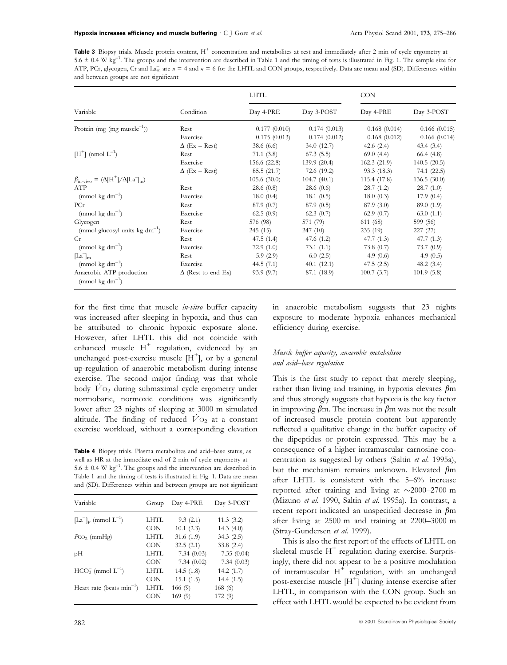**Table 3** Biopsy trials. Muscle protein content,  $H^+$  concentration and metabolites at rest and immediately after 2 min of cycle ergometry at  $5.6 \pm 0.4$  W kg<sup>-1</sup>. The groups and the intervention are described in Table 1 and the timing of tests is illustrated in Fig. 1. The sample size for ATP, PCr, glycogen, Cr and La<sub>m</sub> are  $n = 4$  and  $n = 6$  for the LHTL and CON groups, respectively. Data are mean and (SD). Differences within and between groups are not significant

| Variable                                                   |                           | <b>LHTL</b>  |              | <b>CON</b>   |              |
|------------------------------------------------------------|---------------------------|--------------|--------------|--------------|--------------|
|                                                            | Condition                 | Day 4-PRE    | Day 3-POST   | Day 4-PRE    | Day 3-POST   |
| Protein (mg (mg muscle <sup>-1</sup> ))                    | Rest                      | 0.177(0.010) | 0.174(0.013) | 0.168(0.014) | 0.166(0.015) |
|                                                            | Exercise                  | 0.175(0.013) | 0.174(0.012) | 0.168(0.012) | 0.166(0.014) |
|                                                            | $\Delta$ (Ex – Rest)      | 38.6(6.6)    | 34.0(12.7)   | 42.6 $(2.4)$ | 43.4(3.4)    |
| $[H^+]$ (nmol $L^{-1}$ )                                   | Rest                      | 71.1(3.8)    | 67.3(5.5)    | 69.0(4.4)    | 66.4(4.8)    |
|                                                            | Exercise                  | 156.6 (22.8) | 139.9(20.4)  | 162.3(21.9)  | 140.5(20.5)  |
|                                                            | $\Delta$ (Ex – Rest)      | 85.5(21.7)   | 72.6 (19.2)  | 93.3(18.3)   | 74.1 (22.5)  |
| $\beta_{\text{in-vivo}} = (\Delta[H^+]/\Delta[La^-]_m)$    |                           | 105.6(30.0)  | 104.7(40.1)  | 115.4 (17.8) | 136.5(30.0)  |
| ATP                                                        | Rest                      | 28.6(0.8)    | 28.6(0.6)    | 28.7(1.2)    | 28.7(1.0)    |
| $\pmod{kg}$ dm <sup>-1</sup> )                             | Exercise                  | 18.0(0.4)    | 18.1(0.5)    | 18.0(0.3)    | 17.9(0.4)    |
| PCr                                                        | Rest                      | 87.9(0.7)    | 87.9(0.5)    | 87.9(3.0)    | 89.0 (1.9)   |
| $\pmod{kg}$ dm <sup>-1</sup> )                             | Exercise                  | 62.5(0.9)    | 62.3(0.7)    | 62.9(0.7)    | 63.0(1.1)    |
| Glycogen                                                   | Rest                      | 576 (98)     | 571 (79)     | 611 (68)     | 599 (56)     |
| (mmol glucosyl units $kg dm^{-1}$ )                        | Exercise                  | 245(15)      | 247(10)      | 235(19)      | 227(27)      |
| Cr                                                         | Rest                      | 47.5(1.4)    | 47.6 $(1.2)$ | 47.7(1.3)    | 47.7(1.3)    |
| (mmol kg dm <sup>-1</sup> )                                | Exercise                  | 72.9 $(1.0)$ | 73.1(1.1)    | 73.8 $(0.7)$ | 73.7(0.9)    |
| $\mathbb{L}a\mathbb{L}_m$                                  | Rest                      | 5.9(2.9)     | 6.0(2.5)     | 4.9 $(0.6)$  | 4.9 $(0.5)$  |
| $\pmod{kg}$ dm <sup>-1</sup> )                             | Exercise                  | 44.5 $(7.1)$ | 40.1(12.1)   | 47.5(2.5)    | 48.2 $(3.4)$ |
| Anaerobic ATP production<br>$\pmod{kg}$ dm <sup>-1</sup> ) | $\Delta$ (Rest to end Ex) | 93.9(9.7)    | 87.1 (18.9)  | 100.7(3.7)   | 101.9(5.8)   |

for the first time that muscle *in-vitro* buffer capacity was increased after sleeping in hypoxia, and thus can be attributed to chronic hypoxic exposure alone. However, after LHTL this did not coincide with enhanced muscle  $H^+$  regulation, evidenced by an unchanged post-exercise muscle  $[H^+]$ , or by a general up-regulation of anaerobic metabolism during intense exercise. The second major finding was that whole body  $V_{O_2}$  during submaximal cycle ergometry under normobaric, normoxic conditions was significantly lower after 23 nights of sleeping at 3000 m simulated altitude. The finding of reduced  $\overline{V}$  O<sub>2</sub> at a constant exercise workload, without a corresponding elevation

Table 4 Biopsy trials. Plasma metabolites and acid-base status, as well as HR at the immediate end of 2 min of cycle ergometry at 5.6  $\pm$  0.4 W kg<sup>-1</sup>. The groups and the intervention are described in Table 1 and the timing of tests is illustrated in Fig. 1. Data are mean

and (SD). Differences within and between groups are not significant

| Group      | Day 4-PRE  | Day 3-POST   |
|------------|------------|--------------|
| LHTL       | 9.3(2.1)   | 11.3(3.2)    |
| <b>CON</b> | 10.1(2.3)  | 14.3 $(4.0)$ |
| LHTL       | 31.6(1.9)  | 34.3(2.5)    |
| <b>CON</b> | 32.5(2.1)  | 33.8(2.4)    |
| LHTL       | 7.34(0.03) | 7.35(0.04)   |
| <b>CON</b> | 7.34(0.02) | 7.34(0.03)   |
| LHTL       | 14.5(1.8)  | 14.2(1.7)    |
| <b>CON</b> | 15.1(1.5)  | 14.4(1.5)    |
| LHTL       | 166(9)     | 168(6)       |
| CON        | 169(9)     | 172 (9)      |
|            |            |              |

in anaerobic metabolism suggests that 23 nights exposure to moderate hypoxia enhances mechanical efficiency during exercise.

# Muscle buffer capacity, anaerobic metabolism and acid-base regulation

This is the first study to report that merely sleeping, rather than living and training, in hypoxia elevates  $\beta$ m and thus strongly suggests that hypoxia is the key factor in improving  $\beta$ m. The increase in  $\beta$ m was not the result of increased muscle protein content but apparently reflected a qualitative change in the buffer capacity of the dipeptides or protein expressed. This may be a consequence of a higher intramuscular carnosine concentration as suggested by others (Saltin et al. 1995a), but the mechanism remains unknown. Elevated  $\beta$ m after LHTL is consistent with the  $5-6\%$  increase reported after training and living at  $\sim$ 2000-2700 m (Mizuno et al. 1990, Saltin et al. 1995a). In contrast, a recent report indicated an unspecified decrease in  $\beta$ m after living at  $2500$  m and training at  $2200-3000$  m (Stray-Gundersen et al. 1999).

This is also the first report of the effects of LHTL on skeletal muscle  $H^+$  regulation during exercise. Surprisingly, there did not appear to be a positive modulation of intramuscular  $H^+$  regulation, with an unchanged post-exercise muscle  $[H^+]$  during intense exercise after LHTL, in comparison with the CON group. Such an effect with LHTL would be expected to be evident from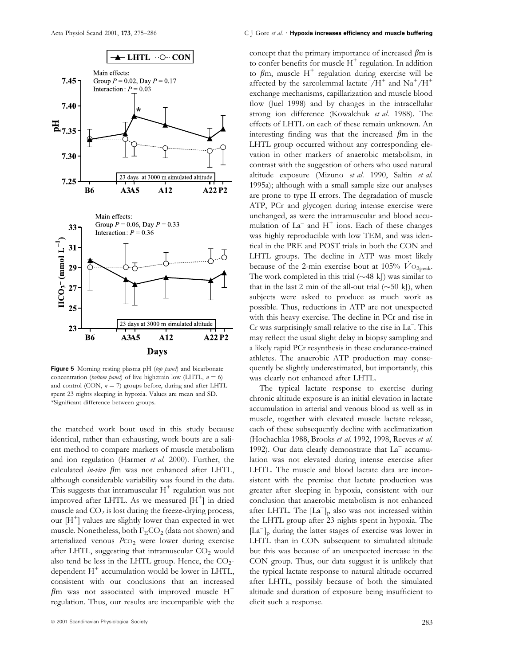

Figure 5 Morning resting plasma pH (top panel) and bicarbonate concentration (bottom panel) of live high:train low (LHTL,  $n = 6$ ) and control (CON,  $n = 7$ ) groups before, during and after LHTL spent 23 nights sleeping in hypoxia. Values are mean and SD. \*Signi®cant difference between groups.

the matched work bout used in this study because identical, rather than exhausting, work bouts are a salient method to compare markers of muscle metabolism and ion regulation (Harmer et al. 2000). Further, the calculated *in-vivo*  $\beta$ m was not enhanced after LHTL, although considerable variability was found in the data. This suggests that intramuscular  $H^+$  regulation was not improved after LHTL. As we measured  $[H^{\dagger}]$  in dried muscle and  $CO<sub>2</sub>$  is lost during the freeze-drying process, our  $[H^+]$  values are slightly lower than expected in wet muscle. Nonetheless, both  $F_ECO_2$  (data not shown) and arterialized venous Pco<sub>2</sub> were lower during exercise after LHTL, suggesting that intramuscular  $CO<sub>2</sub>$  would also tend be less in the LHTL group. Hence, the  $CO<sub>2</sub>$ dependent  $H^+$  accumulation would be lower in LHTL, consistent with our conclusions that an increased  $\beta$ m was not associated with improved muscle H<sup>+</sup> regulation. Thus, our results are incompatible with the concept that the primary importance of increased  $\beta$ m is to confer benefits for muscle  $H^+$  regulation. In addition to  $\beta$ m, muscle H<sup>+</sup> regulation during exercise will be affected by the sarcolemmal lactate  $/H^+$  and  $\mathrm{Na}^+/\mathrm{H}^+$ exchange mechanisms, capillarization and muscle blood flow (Juel 1998) and by changes in the intracellular strong ion difference (Kowalchuk et al. 1988). The effects of LHTL on each of these remain unknown. An interesting finding was that the increased  $\beta$ m in the LHTL group occurred without any corresponding elevation in other markers of anaerobic metabolism, in contrast with the suggestion of others who used natural altitude exposure (Mizuno et al. 1990, Saltin et al. 1995a); although with a small sample size our analyses are prone to type II errors. The degradation of muscle ATP, PCr and glycogen during intense exercise were unchanged, as were the intramuscular and blood accumulation of  $La^-$  and  $H^+$  ions. Each of these changes was highly reproducible with low TEM, and was identical in the PRE and POST trials in both the CON and LHTL groups. The decline in ATP was most likely because of the 2-min exercise bout at 105%  $\overline{V}_{\rm O_2peak}$ . The work completed in this trial  $(\sim 48 \text{ kJ})$  was similar to that in the last 2 min of the all-out trial  $(\sim 50 \text{ kJ})$ , when subjects were asked to produce as much work as possible. Thus, reductions in ATP are not unexpected with this heavy exercise. The decline in PCr and rise in Cr was surprisingly small relative to the rise in La<sup>-</sup>. This may reflect the usual slight delay in biopsy sampling and a likely rapid PCr resynthesis in these endurance-trained athletes. The anaerobic ATP production may consequently be slightly underestimated, but importantly, this was clearly not enhanced after LHTL.

The typical lactate response to exercise during chronic altitude exposure is an initial elevation in lactate accumulation in arterial and venous blood as well as in muscle, together with elevated muscle lactate release, each of these subsequently decline with acclimatization (Hochachka 1988, Brooks et al. 1992, 1998, Reeves et al. 1992). Our data clearly demonstrate that  $La<sup>-</sup>$  accumulation was not elevated during intense exercise after LHTL. The muscle and blood lactate data are inconsistent with the premise that lactate production was greater after sleeping in hypoxia, consistent with our conclusion that anaerobic metabolism is not enhanced after LHTL. The  $[La^-]_p$  also was not increased within the LHTL group after 23 nights spent in hypoxia. The  $[La^-]_p$  during the latter stages of exercise was lower in LHTL than in CON subsequent to simulated altitude but this was because of an unexpected increase in the CON group. Thus, our data suggest it is unlikely that the typical lactate response to natural altitude occurred after LHTL, possibly because of both the simulated altitude and duration of exposure being insufficient to elicit such a response.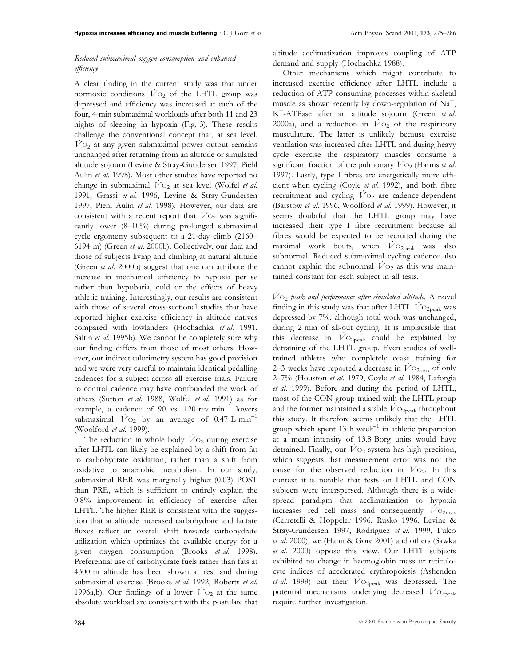# Reduced submaximal oxygen consumption and enhanced efficiency

A clear finding in the current study was that under normoxic conditions  $\dot{V}$  O<sub>2</sub> of the LHTL group was depressed and efficiency was increased at each of the four, 4-min submaximal workloads after both 11 and 23 nights of sleeping in hypoxia (Fig. 3). These results challenge the conventional concept that, at sea level,  $\overline{V}$ O<sub>2</sub> at any given submaximal power output remains unchanged after returning from an altitude or simulated altitude sojourn (Levine & Stray-Gundersen 1997, Piehl Aulin et al. 1998). Most other studies have reported no change in submaximal  $\overline{V}O_2$  at sea level (Wolfel et al. 1991, Grassi et al. 1996, Levine & Stray-Gundersen 1997, Piehl Aulin et al. 1998). However, our data are consistent with a recent report that  $\dot{V}$  O<sub>2</sub> was significantly lower (8-10%) during prolonged submaximal cycle ergometry subsequent to a 21-day climb (2160-6194 m) (Green et al. 2000b). Collectively, our data and those of subjects living and climbing at natural altitude (Green et al. 2000b) suggest that one can attribute the increase in mechanical efficiency to hypoxia per se rather than hypobaria, cold or the effects of heavy athletic training. Interestingly, our results are consistent with those of several cross-sectional studies that have reported higher exercise efficiency in altitude natives compared with lowlanders (Hochachka et al. 1991, Saltin et al. 1995b). We cannot be completely sure why our finding differs from those of most others. However, our indirect calorimetry system has good precision and we were very careful to maintain identical pedalling cadences for a subject across all exercise trials. Failure to control cadence may have confounded the work of others (Sutton et al. 1988, Wolfel et al. 1991) as for example, a cadence of 90 vs.  $120$  rev min<sup>-1</sup> lowers submaximal  $\overline{V}O_2$  by an average of 0.47 L min<sup>-1</sup> (Woolford et al. 1999).

The reduction in whole body  $V_{\text{O}_2}$  during exercise after LHTL can likely be explained by a shift from fat to carbohydrate oxidation, rather than a shift from oxidative to anaerobic metabolism. In our study, submaximal RER was marginally higher (0.03) POST than PRE, which is sufficient to entirely explain the  $0.8\%$  improvement in efficiency of exercise after LHTL. The higher RER is consistent with the suggestion that at altitude increased carbohydrate and lactate fluxes reflect an overall shift towards carbohydrate utilization which optimizes the available energy for a given oxygen consumption (Brooks et al. 1998). Preferential use of carbohydrate fuels rather than fats at 4300 m altitude has been shown at rest and during submaximal exercise (Brooks et al. 1992, Roberts et al. 1996a,b). Our findings of a lower  $\dot{V}$  O<sub>2</sub> at the same absolute workload are consistent with the postulate that

altitude acclimatization improves coupling of ATP demand and supply (Hochachka 1988).

Other mechanisms which might contribute to increased exercise efficiency after LHTL include a reduction of ATP consuming processes within skeletal muscle as shown recently by down-regulation of  $\text{Na}^+$ , K<sup>+</sup>-ATPase after an altitude sojourn (Green et al. 2000a), and a reduction in  $\overline{V}$  O<sub>2</sub> of the respiratory musculature. The latter is unlikely because exercise ventilation was increased after LHTL and during heavy cycle exercise the respiratory muscles consume a significant fraction of the pulmonary  $\dot{V}$ O<sub>2</sub> (Harms et al. 1997). Lastly, type I fibres are energetically more efficient when cycling (Coyle et al. 1992), and both fibre recruitment and cycling  $\dot{V}$  O<sub>2</sub> are cadence-dependent (Barstow et al. 1996, Woolford et al. 1999). However, it seems doubtful that the LHTL group may have increased their type I fibre recruitment because all fibres would be expected to be recruited during the maximal work bouts, when  $\dot{V}$ O<sub>2peak</sub> was also subnormal. Reduced submaximal cycling cadence also cannot explain the subnormal  $\dot{V}$  O<sub>2</sub> as this was maintained constant for each subject in all tests.

 $\dot{V}$ O<sub>2</sub> peak and performance after simulated altitude. A novel finding in this study was that after LHTL  $V_{\text{O}_{2\text{peak}}}$  was depressed by 7%, although total work was unchanged, during 2 min of all-out cycling. It is implausible that this decrease in  $\overline{V}_{\text{O}_2\text{peak}}$  could be explained by detraining of the LHTL group. Even studies of welltrained athletes who completely cease training for 2-3 weeks have reported a decrease in  $V_{\rm O2max}$  of only 2-7% (Houston et al. 1979, Coyle et al. 1984, Laforgia et al. 1999). Before and during the period of LHTL, most of the CON group trained with the LHTL group and the former maintained a stable  $\dot{V}$ O<sub>2peak</sub> throughout this study. It therefore seems unlikely that the LHTL group which spent 13 h week $^{-1}$  in athletic preparation at a mean intensity of 13.8 Borg units would have detrained. Finally, our  $\dot{V}$  O<sub>2</sub> system has high precision, which suggests that measurement error was not the cause for the observed reduction in  $V_{\text{O}_2}$ . In this context it is notable that tests on LHTL and CON subjects were interspersed. Although there is a widespread paradigm that acclimatization to hypoxia increases red cell mass and consequently  $V_{\rm O_{2max}}$ (Cerretelli & Hoppeler 1996, Rusko 1996, Levine & Stray-Gundersen 1997, Rodríguez et al. 1999, Fulco et al. 2000), we (Hahn & Gore 2001) and others (Sawka et al. 2000) oppose this view. Our LHTL subjects exhibited no change in haemoglobin mass or reticulocyte indices of accelerated erythropoiesis (Ashenden et al. 1999) but their  $\dot{V}$ O<sub>2peak</sub> was depressed. The potential mechanisms underlying decreased  $\dot{V}$ O<sub>2peak</sub> require further investigation.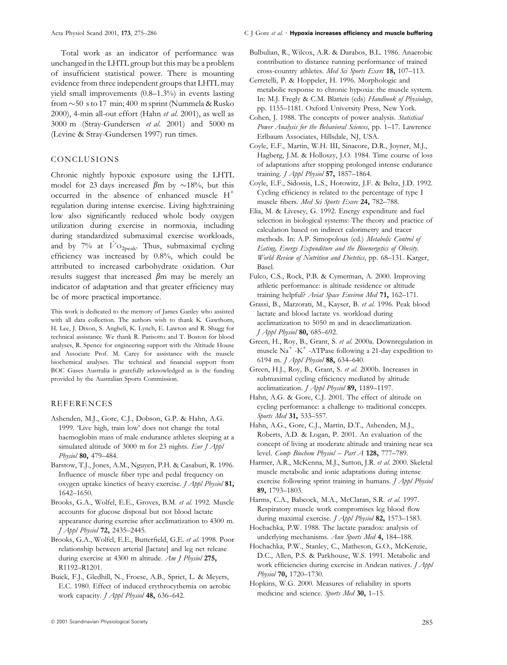Total work as an indicator of performance was unchanged in the LHTL group but this may be a problem of insufficient statistical power. There is mounting evidence from three independent groups that LHTL may yield small improvements  $(0.8–1.3%)$  in events lasting from  $\sim$  50 s to 17 min; 400 m sprint (Nummela & Rusko 2000), 4-min all-out effort (Hahn et al. 2001), as well as 3000 m (Stray-Gundersen et al. 2001) and 5000 m (Levine & Stray-Gundersen 1997) run times.

## CONCLUSIONS

Chronic nightly hypoxic exposure using the LHTL model for 23 days increased  $\beta$ m by  $\sim$ 18%, but this occurred in the absence of enhanced muscle H<sup>+</sup> regulation during intense exercise. Living high:training low also significantly reduced whole body oxygen utilization during exercise in normoxia, including during standardized submaximal exercise workloads, and by 7% at  $\dot{V}$  O<sub>2peak</sub>. Thus, submaximal cycling efficiency was increased by  $0.8\%$ , which could be attributed to increased carbohydrate oxidation. Our results suggest that increased  $\beta$ m may be merely an indicator of adaptation and that greater efficiency may be of more practical importance.

This work is dedicated to the memory of James Ganley who assisted with all data collection. The authors wish to thank K. Gawthorn, H. Lee, J. Dixon, S. Angheli, K. Lynch, E. Lawton and R. Shugg for technical assistance. We thank R. Parisotto and T. Boston for blood analyses, R. Spence for engineering support with the Altitude House and Associate Prof. M. Carey for assistance with the muscle biochemical analyses. The technical and financial support from BOC Gases Australia is gratefully acknowledged as is the funding provided by the Australian Sports Commission.

## REFERENCES

- Ashenden, M.J., Gore, C.J., Dobson, G.P. & Hahn, A.G. 1999. 'Live high, train low' does not change the total haemoglobin mass of male endurance athletes sleeping at a simulated altitude of 3000 m for 23 nights. Eur J Appl Physiol 80, 479-484.
- Barstow, T.J., Jones, A.M., Nguyen, P.H. & Casaburi, R. 1996. Influence of muscle fiber type and pedal frequency on oxygen uptake kinetics of heavy exercise. J Appl Physiol 81, 1642±1650.
- Brooks, G.A., Wolfel, E.E., Groves, B.M. et al. 1992. Muscle accounts for glucose disposal but not blood lactate appearance during exercise after acclimatization to 4300 m. J Appl Physiol 72, 2435-2445.
- Brooks, G.A., Wolfel, E.E., Butterfield, G.E. et al. 1998. Poor relationship between arterial [lactate] and leg net release during exercise at 4300 m altitude. Am J Physiol 275, R1192-R1201.
- Buick, F.J., Gledhill, N., Froese, A.B., Spriet, L. & Meyers, E.C. 1980. Effect of induced erythrocythemia on aerobic work capacity. *J Appl Physiol* 48, 636-642.

## Acta Physiol Scand 2001, 173, 275-286 C J Gore et al. • Hypoxia increases efficiency and muscle buffering

- Bulbulian, R., Wilcox, A.R. & Darabos, B.L. 1986. Anaerobic contribution to distance running performance of trained cross-country athletes. Med Sci Sports Exerc 18, 107-113.
- Cerretelli, P. & Hoppeler, H. 1996. Morphologic and metabolic response to chronic hypoxia: the muscle system. In: M.J. Fregly & C.M. Blatteis (eds) Handbook of Physiology, pp. 1155–1181. Oxford University Press, New York.
- Cohen, J. 1988. The concepts of power analysis. Statistical Power Analysis for the Behavioral Sciences, pp. 1-17. Lawrence Erlbaum Associates, Hillsdale, NJ, USA.
- Coyle, E.F., Martin, W.H. III, Sinacore, D.R., Joyner, M.J., Hagberg, J.M. & Holloszy, J.O. 1984. Time course of loss of adaptations after stopping prolonged intense endurance training.  $J$  Appl Physiol 57, 1857-1864.
- Coyle, E.F., Sidossis, L.S., Horowitz, J.F. & Beltz, J.D. 1992. Cycling efficiency is related to the percentage of type I muscle fibers. Med Sci Sports Exerc 24, 782-788.
- Elia, M. & Livesey, G. 1992. Energy expenditure and fuel selection in biological systems: The theory and practice of calculation based on indirect calorimetry and tracer methods. In: A.P. Simopolous (ed.) Metabolic Control of Eating, Energy Expenditure and the Bioenergetics of Obesity. World Review of Nutrition and Dietetics, pp. 68-131. Karger, Basel.
- Fulco, C.S., Rock, P.B. & Cymerman, A. 2000. Improving athletic performance: is altitude residence or altitude training helpful? Aviat Space Environ Med 71, 162-171.
- Grassi, B., Marzorati, M., Kayser, B. et al. 1996. Peak blood lactate and blood lactate vs. workload during acclimatization to 5050 m and in deacclimatization.  $I$  Appl Physiol 80, 685-692.
- Green, H., Roy, B., Grant, S. et al. 2000a. Downregulation in muscle  $Na^+$  -K<sup>+</sup> -ATPase following a 21-day expedition to 6194 m. J Appl Physiol 88, 634-640.
- Green, H.J., Roy, B., Grant, S. et al. 2000b. Increases in submaximal cycling efficiency mediated by altitude acclimatization. *J Appl Physiol* 89, 1189-1197.
- Hahn, A.G. & Gore, C.J. 2001. The effect of altitude on cycling performance: a challenge to traditional concepts. Sports Med 31, 533-557.
- Hahn, A.G., Gore, C.J., Martin, D.T., Ashenden, M.J., Roberts, A.D. & Logan, P. 2001. An evaluation of the concept of living at moderate altitude and training near sea level. Comp Biochem Physiol  $-$  Part A 128, 777-789.
- Harmer, A.R., McKenna, M.J., Sutton, J.R. et al. 2000. Skeletal muscle metabolic and ionic adaptations during intense exercise following sprint training in humans. *J Appl Physiol* 89, 1793±1803.
- Harms, C.A., Babcock, M.A., McClaran, S.R. et al. 1997. Respiratory muscle work compromises leg blood flow during maximal exercise.  $J$  Appl Physiol 82, 1573-1583.
- Hochachka, P.W. 1988. The lactate paradox: analysis of underlying mechanisms. Ann Sports Med 4, 184-188.
- Hochachka, P.W., Stanley, C., Matheson, G.O., McKenzie, D.C., Allen, P.S. & Parkhouse, W.S. 1991. Metabolic and work efficiencies during exercise in Andean natives. *J Appl* Physiol 70, 1720-1730.
- Hopkins, W.G. 2000. Measures of reliability in sports medicine and science. Sports Med 30, 1-15.